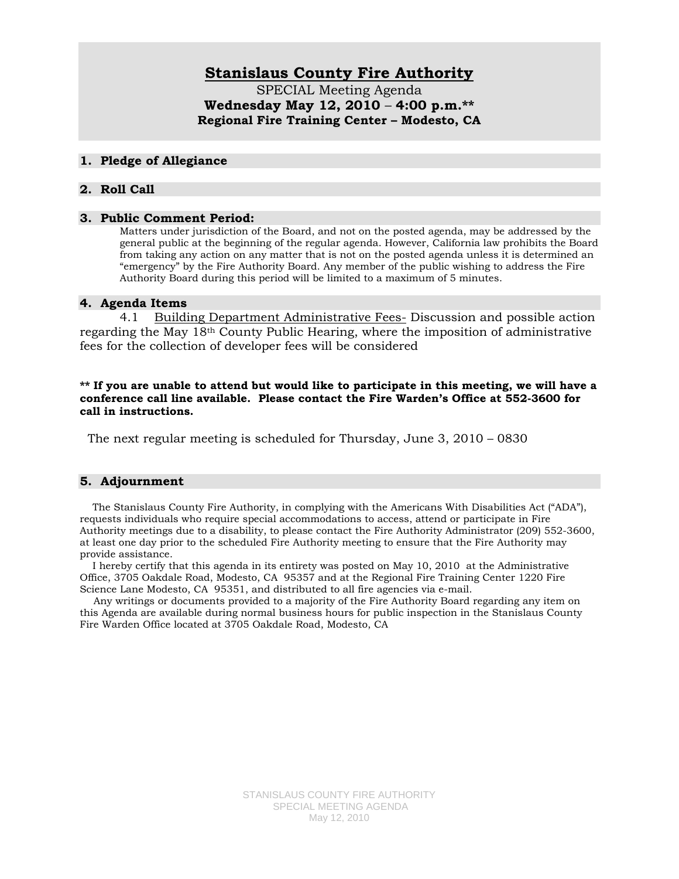# **Stanislaus County Fire Authority**

SPECIAL Meeting Agenda **Wednesday May 12, 2010** – **4:00 p.m.\*\* Regional Fire Training Center – Modesto, CA** 

## **1. Pledge of Allegiance**

## **2. Roll Call**

#### **3. Public Comment Period:**

Matters under jurisdiction of the Board, and not on the posted agenda, may be addressed by the general public at the beginning of the regular agenda. However, California law prohibits the Board from taking any action on any matter that is not on the posted agenda unless it is determined an "emergency" by the Fire Authority Board. Any member of the public wishing to address the Fire Authority Board during this period will be limited to a maximum of 5 minutes.

#### **4. Agenda Items**

4.1 Building Department Administrative Fees- Discussion and possible action regarding the May 18th County Public Hearing, where the imposition of administrative fees for the collection of developer fees will be considered

#### **\*\* If you are unable to attend but would like to participate in this meeting, we will have a conference call line available. Please contact the Fire Warden's Office at 552-3600 for call in instructions.**

The next regular meeting is scheduled for Thursday, June 3, 2010 – 0830

## **5. Adjournment**

 The Stanislaus County Fire Authority, in complying with the Americans With Disabilities Act ("ADA"), requests individuals who require special accommodations to access, attend or participate in Fire Authority meetings due to a disability, to please contact the Fire Authority Administrator (209) 552-3600, at least one day prior to the scheduled Fire Authority meeting to ensure that the Fire Authority may provide assistance.

 I hereby certify that this agenda in its entirety was posted on May 10, 2010 at the Administrative Office, 3705 Oakdale Road, Modesto, CA 95357 and at the Regional Fire Training Center 1220 Fire Science Lane Modesto, CA 95351, and distributed to all fire agencies via e-mail.

 Any writings or documents provided to a majority of the Fire Authority Board regarding any item on this Agenda are available during normal business hours for public inspection in the Stanislaus County Fire Warden Office located at 3705 Oakdale Road, Modesto, CA

> STANISLAUS COUNTY FIRE AUTHORITY SPECIAL MEETING AGENDA May 12, 2010